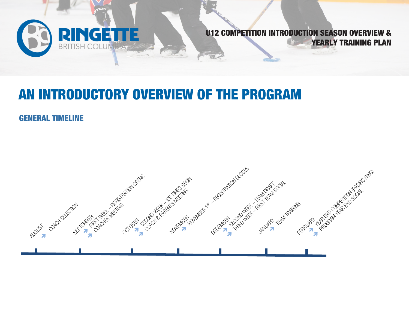

# AN INTRODUCTORY OVERVIEW OF THE PROGRAM

#### GENERAL TIMELINE

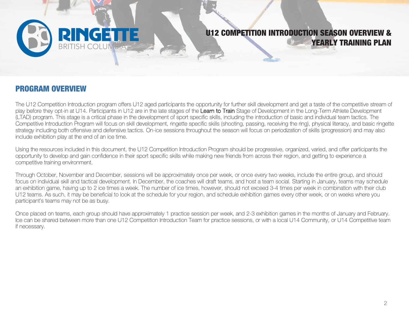

#### PROGRAM OVERVIEW

The U12 Competition Introduction program offers U12 aged participants the opportunity for further skill development and get a taste of the competitive stream of play before they opt-in at U14. Participants in U12 are in the late stages of the Learn to Train Stage of Development in the Long-Term Athlete Development (LTAD) program. This stage is a critical phase in the development of sport specific skills, including the introduction of basic and individual team tactics. The Competitive Introduction Program will focus on skill development, ringette specific skills (shooting, passing, receiving the ring), physical literacy, and basic ringette strategy including both offensive and defensive tactics. On-ice sessions throughout the season will focus on periodization of skills (progression) and may also include exhibition play at the end of an ice time.

Using the resources included in this document, the U12 Competition Introduction Program should be progressive, organized, varied, and offer participants the opportunity to develop and gain confidence in their sport specific skills while making new friends from across their region, and getting to experience a competitive training environment.

Through October, November and December, sessions will be approximately once per week, or once every two weeks, include the entire group, and should focus on individual skill and tactical development. In December, the coaches will draft teams, and host a team social. Starting in January, teams may schedule an exhibition game, having up to 2 ice times a week. The number of ice times, however, should not exceed 3-4 times per week in combination with their club U12 teams. As such, it may be beneficial to look at the schedule for your region, and schedule exhibition games every other week, or on weeks where you participant's teams may not be as busy.

Once placed on teams, each group should have approximately 1 practice session per week, and 2-3 exhibition games in the months of January and February. Ice can be shared between more than one U12 Competition Introduction Team for practice sessions, or with a local U14 Community, or U14 Competitive team if necessary.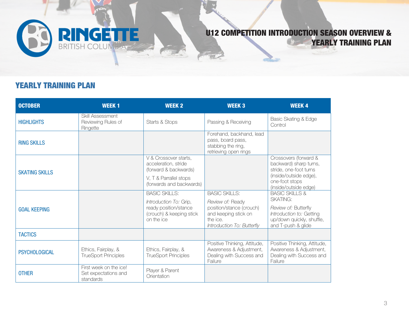

#### YEARLY TRAINING PLAN

| <b>OCTOBER</b>        | <b>WEEK1</b>                                                | <b>WEEK 2</b>                                                                             | <b>WEEK3</b>                                                                                                   | <b>WEEK4</b>                                                                                        |
|-----------------------|-------------------------------------------------------------|-------------------------------------------------------------------------------------------|----------------------------------------------------------------------------------------------------------------|-----------------------------------------------------------------------------------------------------|
| <b>HIGHLIGHTS</b>     | Skill Assessment<br>Reviewing Rules of<br>Ringette          | Starts & Stops                                                                            | Passing & Receiving                                                                                            | Basic Skating & Edge<br>Control                                                                     |
| <b>RING SKILLS</b>    |                                                             |                                                                                           | Forehand, backhand, lead<br>pass, board pass,<br>stabbing the ring,<br>retrieving open rings                   |                                                                                                     |
| <b>SKATING SKILLS</b> |                                                             | V & Crossover starts,<br>acceleration, stride<br>(forward & backwards)                    |                                                                                                                | Crossovers (forward &<br>backward) sharp turns,<br>stride, one-foot turns                           |
|                       |                                                             | V, T & Parrallel stops<br>(forwards and backwards)                                        |                                                                                                                | (inside/outside edge),<br>one-foot stops<br>(inside/outside edge)                                   |
|                       |                                                             | <b>BASIC SKILLS:</b>                                                                      | <b>BASIC SKILLS:</b>                                                                                           | <b>BASIC SKILLS &amp;</b><br><b>SKATING:</b>                                                        |
| <b>GOAL KEEPING</b>   |                                                             | Introduction To: Grip,<br>ready position/stance<br>(crouch) & keeping stick<br>on the ice | Review of: Ready<br>position/stance (crouch)<br>and keeping stick on<br>the ice.<br>Introduction To: Butterfly | Review of: Butterfly<br>Introduction to: Getting<br>up/down quickly, shuffle,<br>and T-push & glide |
| <b>TACTICS</b>        |                                                             |                                                                                           |                                                                                                                |                                                                                                     |
| <b>PSYCHOLOGICAL</b>  | Ethics, Fairplay, &<br><b>TrueSport Principles</b>          | Ethics, Fairplay, &<br><b>TrueSport Principles</b>                                        | Positive Thinking, Attitude,<br>Awareness & Adjustment,<br>Dealing with Success and<br>Failure                 | Positive Thinking, Attitude,<br>Awareness & Adjustment,<br>Dealing with Success and<br>Failure      |
| <b>OTHER</b>          | First week on the ice!<br>Set expectations and<br>standards | Player & Parent<br>Orientation                                                            |                                                                                                                |                                                                                                     |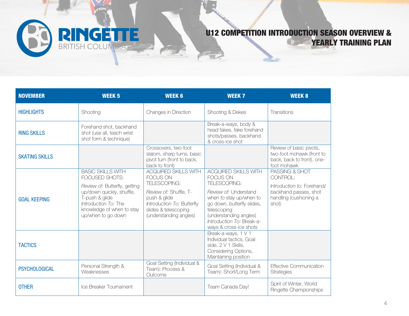

| <b>NOVEMBER</b>       | <b>WEEK 5</b>                                                                                                                                                                                         | <b>WEEK 6</b>                                                                                                                                                                            | <b>WEEK 7</b>                                                                                                                                                                                                                                    | <b>WEEK 8</b>                                                                                                        |
|-----------------------|-------------------------------------------------------------------------------------------------------------------------------------------------------------------------------------------------------|------------------------------------------------------------------------------------------------------------------------------------------------------------------------------------------|--------------------------------------------------------------------------------------------------------------------------------------------------------------------------------------------------------------------------------------------------|----------------------------------------------------------------------------------------------------------------------|
| <b>HIGHLIGHTS</b>     | Shooting                                                                                                                                                                                              | Changes in Direction                                                                                                                                                                     | Shooting & Dekes                                                                                                                                                                                                                                 | Transitions                                                                                                          |
| <b>RING SKILLS</b>    | Forehand shot, backhand<br>shot (use all, teach wrist<br>shot form & technique)                                                                                                                       |                                                                                                                                                                                          | Break-a-ways, body &<br>head fakes, fake forehand<br>shots/passes, backhand<br>& cross-ice shot                                                                                                                                                  |                                                                                                                      |
| <b>SKATING SKILLS</b> |                                                                                                                                                                                                       | Crossovers, two-foot<br>slalom, sharp turns, basic<br>pivot turn (front to back,<br>back to front)                                                                                       |                                                                                                                                                                                                                                                  | Review of basic pivots,<br>two-foot mohawk (front to<br>back, back to front), one-<br>foot mohawk                    |
| <b>GOAL KEEPING</b>   | <b>BASIC SKILLS WITH</b><br>FOCUSED SHOTS:<br>Review of: Butterfly, getting<br>up/down quickly, shuffle,<br>T-push & glide<br>Introduction To: The<br>knowledge of when to stay<br>up/when to go down | <b>ACQUIRED SKILLS WITH</b><br><b>FOCUS ON</b><br>TELESCOPING:<br>Review of: Shuffle, T-<br>push & glide<br>Introduction To: Butterfly<br>slides & telescoping<br>(understanding angles) | <b>ACQUIRED SKILLS WITH</b><br><b>FOCUS ON</b><br>TELESCOPING:<br>Review of: Understand<br>when to stay up/when to<br>go down, butterfly slides,<br>telescoping<br>(understanding angles)<br>Introduction To: Break-a-<br>ways & cross-ice shots | PASSING & SHOT<br>CONTROL:<br>Introduction to: Forehand/<br>backhand passes, shot<br>handling (cushioning a<br>shot) |
| <b>TACTICS</b>        |                                                                                                                                                                                                       |                                                                                                                                                                                          | Break-a-ways, 1 V 1<br>Individual tactics, Goal<br>side, 2 V 1 Skills,<br>Considering Options,<br>Maintaining position                                                                                                                           |                                                                                                                      |
| <b>PSYCHOLOGICAL</b>  | Personal Strength &<br>Weaknesses                                                                                                                                                                     | Goal Setting (Individual &<br>Team): Process &<br>Outcome                                                                                                                                | Goal Setting (Individual &<br>Team): Short/Long Term                                                                                                                                                                                             | <b>Effective Communication</b><br>Strategies                                                                         |
| <b>OTHER</b>          | Ice Breaker Tournament                                                                                                                                                                                |                                                                                                                                                                                          | Team Canada Day!                                                                                                                                                                                                                                 | Spirit of Winter, World<br>Ringette Championships                                                                    |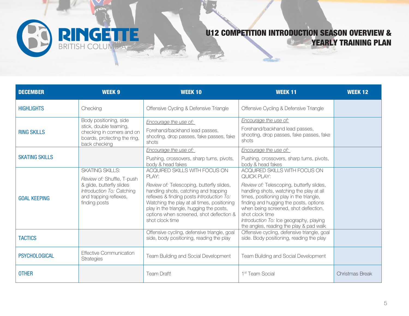| <b>DECEMBER</b>       | <b>WEEK 9</b>                                                                                                                                             | <b>WEEK 10</b>                                                                                                                                                                                                                                                                                                                      | <b>WEEK 11</b>                                                                                                                                                                                                                                                                                                                                                                | <b>WEEK 12</b>  |
|-----------------------|-----------------------------------------------------------------------------------------------------------------------------------------------------------|-------------------------------------------------------------------------------------------------------------------------------------------------------------------------------------------------------------------------------------------------------------------------------------------------------------------------------------|-------------------------------------------------------------------------------------------------------------------------------------------------------------------------------------------------------------------------------------------------------------------------------------------------------------------------------------------------------------------------------|-----------------|
| <b>HIGHLIGHTS</b>     | Checking                                                                                                                                                  | Offensive Cycling & Defensive Triangle                                                                                                                                                                                                                                                                                              | Offensive Cycling & Defensive Triangle                                                                                                                                                                                                                                                                                                                                        |                 |
| <b>RING SKILLS</b>    | Body positioning, side<br>stick, double teaming,<br>checking in corners and on<br>boards, protecting the ring,<br>back checking                           | Encourage the use of:<br>Forehand/backhand lead passes,<br>shooting, drop passes, fake passes, fake<br>shots                                                                                                                                                                                                                        | Encourage the use of:<br>Forehand/backhand lead passes,<br>shooting, drop passes, fake passes, fake<br>shots                                                                                                                                                                                                                                                                  |                 |
| <b>SKATING SKILLS</b> |                                                                                                                                                           | Encourage the use of:<br>Pushing, crossovers, sharp turns, pivots,<br>body & head fakes                                                                                                                                                                                                                                             | Encourage the use of:<br>Pushing, crossovers, sharp turns, pivots,<br>body & head fakes                                                                                                                                                                                                                                                                                       |                 |
| <b>GOAL KEEPING</b>   | <b>SKATING SKILLS:</b><br>Review of: Shuffle, T-push<br>& glide, butterfly slides<br>Introduction To: Catching<br>and trapping reflexes,<br>finding posts | ACQUIRED SKILLS WITH FOCUS ON<br>PLAY:<br>Review of: Telescoping, butterfly slides,<br>handling shots, catching and trapping<br>reflexes & finding posts Introduction To:<br>Watching the play at all times, positioning<br>play in the triangle, hugging the posts,<br>options when screened, shot deflection &<br>shot clock time | ACQUIRED SKILLS WITH FOCUS ON<br>QUICK PLAY:<br>Review of: Telescoping, butterfly slides,<br>handling shots, watching the play at all<br>times, positioning play in the triangle,<br>finding and hugging the posts, options<br>when being screened, shot deflection,<br>shot clock time<br>Introduction To: Ice geography, playing<br>the angles, reading the play & pad walk |                 |
| <b>TACTICS</b>        |                                                                                                                                                           | Offensive cycling, defensive triangle, goal<br>side, body positioning, reading the play                                                                                                                                                                                                                                             | Offensive cycling, defensive triangle, goal<br>side. Body positioning, reading the play                                                                                                                                                                                                                                                                                       |                 |
| <b>PSYCHOLOGICAL</b>  | <b>Effective Communication</b><br>Strategies                                                                                                              | Team Building and Social Development                                                                                                                                                                                                                                                                                                | Team Building and Social Development                                                                                                                                                                                                                                                                                                                                          |                 |
| <b>OTHER</b>          |                                                                                                                                                           | Team Draft!                                                                                                                                                                                                                                                                                                                         | 1 <sup>st</sup> Team Social                                                                                                                                                                                                                                                                                                                                                   | Christmas Break |

**RINGETTE**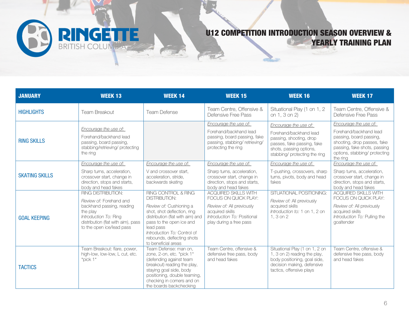

| <b>JANUARY</b>        | <b>WEEK 13</b>                                                                                                                                                                            | <b>WEEK 14</b>                                                                                                                                                                                                                                                  | <b>WEEK 15</b>                                                                                                                                                | <b>WEEK 16</b>                                                                                                                                                       | <b>WEEK 17</b>                                                                                                                                                                         |
|-----------------------|-------------------------------------------------------------------------------------------------------------------------------------------------------------------------------------------|-----------------------------------------------------------------------------------------------------------------------------------------------------------------------------------------------------------------------------------------------------------------|---------------------------------------------------------------------------------------------------------------------------------------------------------------|----------------------------------------------------------------------------------------------------------------------------------------------------------------------|----------------------------------------------------------------------------------------------------------------------------------------------------------------------------------------|
| <b>HIGHLIGHTS</b>     | Team Breakout                                                                                                                                                                             | <b>Team Defense</b>                                                                                                                                                                                                                                             | Team Centre, Offensive &<br>Defensive Free Pass                                                                                                               | Situational Play (1 on 1, 2<br>on 1, 3 on 2)                                                                                                                         | Team Centre, Offensive &<br>Defensive Free Pass                                                                                                                                        |
| <b>RING SKILLS</b>    | Encourage the use of:<br>Forehand/backhand lead<br>passing, board passing,<br>stabbing/retrieving/protecting<br>the ring                                                                  |                                                                                                                                                                                                                                                                 | Encourage the use of:<br>Forehand/backhand lead<br>passing, board passing, fake<br>passing, stabbing/retrieving/<br>protecting the ring                       | Encourage the use of:<br>Forehand/backhand lead<br>passing, shooting, drop<br>passes, fake passing, fake<br>shots, passing options,<br>stabbing/ protecting the ring | Encourage the use of:<br>Forehand/backhand lead<br>passing, board passing,<br>shooting, drop passes, fake<br>passing, fake shots, passing<br>options, stabbing/ protecting<br>the ring |
| <b>SKATING SKILLS</b> | Encourage the use of:<br>Sharp turns, acceleration,<br>crossover start, change in<br>direction, stops and starts,<br>body and head fakes                                                  | Encourage the use of:<br>V and crossover start.<br>acceleration, stride,<br>backwards skating                                                                                                                                                                   | Encourage the use of:<br>Sharp turns, acceleration,<br>crossover start, change in<br>direction, stops and starts,<br>body and head fakes                      | Encourage the use of:<br>T-pushing, crossovers, sharp<br>turns, pivots, body and head<br>fakes                                                                       | Encourage the use of:<br>Sharp turns, acceleration,<br>crossover start, change in<br>direction, stops and starts,<br>body and head fakes                                               |
| <b>GOAL KEEPING</b>   | <b>RING DISTRIBUTION:</b><br>Review of: Forehand and<br>backhand passing, reading<br>the play<br>Introduction To: Ring<br>distribution (flat with aim), pass<br>to the open ice/lead pass | RING CONTROL & RING<br>DISTRIBUTION:<br>Review of: Cushioning a<br>shot, shot deflection, ring<br>distribution (flat with aim) and<br>pass to the open ice and<br>lead pass<br>Introduction To: Control of<br>rebounds, deflecting shots<br>to beneficial areas | <b>ACQUIRED SKILLS WITH</b><br>FOCUS ON QUICK PLAY:<br>Review of: All previously<br>acquired skills<br>Introduction To: Positional<br>play during a free pass | SITUATIONAL POSITIONING:<br>Review of: All previously<br>acquired skills<br>Introduction to: 1 on 1, 2 on<br>1, 3 on 2                                               | <b>ACQUIRED SKILLS WITH</b><br>FOCUS ON QUICK PLAY:<br>Review of: All previously<br>acquired skills<br>Introduction To: Pulling the<br>goaltender                                      |
| <b>TACTICS</b>        | Team Breakout: flare, power,<br>high-low, low-low, L cut, etc.<br>$*$ pick 1 $*$                                                                                                          | Team Defense: man on,<br>zone, 2-on, etc. *pick 1*<br>(defending against team<br>breakout) reading the play,<br>staying goal side, body<br>positioning, double teaming,<br>checking in corners and on<br>the boards backchecking                                | Team Centre, offensive &<br>defensive free pass, body<br>and head fakes                                                                                       | Situational Play (1 on 1, 2 on<br>1, 3 on 2) reading the play,<br>body positioning, goal side,<br>decision making, defensive<br>tactics, offensive plays             | Team Centre, offensive &<br>defensive free pass, body<br>and head fakes                                                                                                                |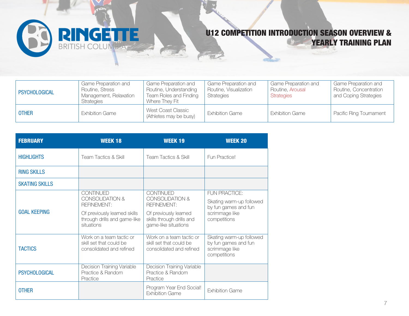

| <b>PSYCHOLOGICAL</b> | Game Preparation and<br>Routine, Stress<br>Management, Relaxation<br><b>Strategies</b> | Game Preparation and<br>Routine, Understanding<br>Team Roles and Finding<br>Where Thev Fit | Game Preparation and<br>Routine, Visualization<br><b>Strategies</b> | <b>Game Preparation and</b><br>Routine, Arousal<br><b>Strategies</b> | Game Preparation and<br>Routine, Concentration<br>and Coping Strategies |
|----------------------|----------------------------------------------------------------------------------------|--------------------------------------------------------------------------------------------|---------------------------------------------------------------------|----------------------------------------------------------------------|-------------------------------------------------------------------------|
| <b>OTHER</b>         | <b>Exhibition Game</b>                                                                 | West Coast Classic<br>(Athletes may be busy)                                               | <b>Exhibition Game</b>                                              | <b>Exhibition Game</b>                                               | Pacific Ring Tournament                                                 |

| <b>FEBRUARY</b>       | <b>WEEK 18</b>                                                                  | <b>WEEK 19</b>                                                                  | <b>WEEK 20</b>                                                                     |
|-----------------------|---------------------------------------------------------------------------------|---------------------------------------------------------------------------------|------------------------------------------------------------------------------------|
| <b>HIGHLIGHTS</b>     | <b>Team Tactics &amp; Skill</b>                                                 | <b>Team Tactics &amp; Skill</b>                                                 | Fun Practice!                                                                      |
| <b>RING SKILLS</b>    |                                                                                 |                                                                                 |                                                                                    |
| <b>SKATING SKILLS</b> |                                                                                 |                                                                                 |                                                                                    |
|                       | <b>CONTINUED</b><br><b>CONSOLIDATION &amp;</b><br><b>REFINEMENT:</b>            | <b>CONTINUED</b><br><b>CONSOLIDATION &amp;</b><br><b>REFINEMENT:</b>            | <b>FUN PRACTICE:</b><br>Skating warm-up followed<br>by fun games and fun           |
| <b>GOAL KEEPING</b>   | Of previously learned skills<br>through drills and game-like<br>situations      | Of previously learned<br>skills through drills and<br>game-like situations      | scrimmage like<br>competitions                                                     |
| <b>TACTICS</b>        | Work on a team tactic or<br>skill set that could be<br>consolidated and refined | Work on a team tactic or<br>skill set that could be<br>consolidated and refined | Skating warm-up followed<br>by fun games and fun<br>scrimmage like<br>competitions |
| <b>PSYCHOLOGICAL</b>  | Decision Training Variable<br>Practice & Random<br>Practice                     | Decision Training Variable<br>Practice & Random<br>Practice                     |                                                                                    |
| <b>OTHER</b>          |                                                                                 | Program Year End Social!<br><b>Exhibition Game</b>                              | <b>Exhibition Game</b>                                                             |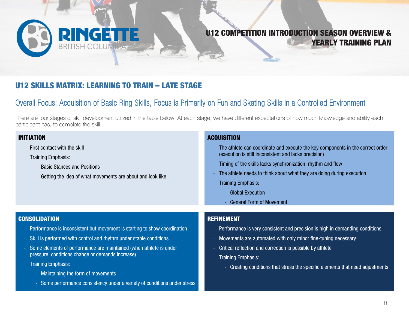

#### U12 SKILLS MATRIX: LEARNING TO TRAIN – LATE STAGE

- Some performance consistency under a variety of conditions under stress

#### Overall Focus: Acquisition of Basic Ring Skills, Focus is Primarily on Fun and Skating Skills in a Controlled Environment

There are four stages of skill development utilized in the table below. At each stage, we have different expectations of how much knowledge and ability each participant has, to complete the skill.

| <b>INITIATION</b><br>First contact with the skill<br><b>Training Emphasis:</b><br><b>Basic Stances and Positions</b><br>Getting the idea of what movements are about and look like       | <b>ACQUISITION</b><br>The athlete can coordinate and execute the key components in the correct order<br>(execution is still inconsistent and lacks precision)<br>Timing of the skills lacks synchronization, rhythm and flow<br>The athlete needs to think about what they are doing during execution<br><b>Training Emphasis:</b><br><b>Global Execution</b> |
|------------------------------------------------------------------------------------------------------------------------------------------------------------------------------------------|---------------------------------------------------------------------------------------------------------------------------------------------------------------------------------------------------------------------------------------------------------------------------------------------------------------------------------------------------------------|
|                                                                                                                                                                                          | <b>General Form of Movement</b>                                                                                                                                                                                                                                                                                                                               |
| <b>CONSOLIDATION</b>                                                                                                                                                                     | <b>REFINEMENT</b>                                                                                                                                                                                                                                                                                                                                             |
| Performance is inconsistent but movement is starting to show coordination                                                                                                                | Performance is very consistent and precision is high in demanding conditions<br>-                                                                                                                                                                                                                                                                             |
| Skill is performed with control and rhythm under stable conditions                                                                                                                       | Movements are automated with only minor fine-tuning necessary                                                                                                                                                                                                                                                                                                 |
| Some elements of performance are maintained (when athlete is under<br>pressure, conditions change or demands increase)<br><b>Training Emphasis:</b><br>Maintaining the form of movements | Critical reflection and correction is possible by athlete<br><b>Training Emphasis:</b><br>Creating conditions that stress the specific elements that need adjustments<br>$\overline{\phantom{a}}$                                                                                                                                                             |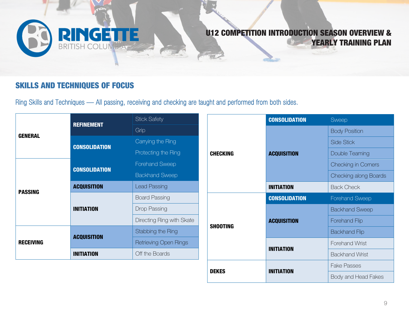

#### SKILLS AND TECHNIQUES OF FOCUS

Ring Skills and Techniques — All passing, receiving and checking are taught and performed from both sides.

|                                      | <b>REFINEMENT</b>    | <b>Stick Safety</b>       |                 | <b>CONSOLIDATION</b> | Sweep                        |
|--------------------------------------|----------------------|---------------------------|-----------------|----------------------|------------------------------|
| <b>GENERAL</b>                       |                      | Grip                      |                 |                      | <b>Body Position</b>         |
|                                      | <b>CONSOLIDATION</b> | Carrying the Ring         |                 |                      | Side Stick                   |
|                                      |                      | Protecting the Ring       | <b>CHECKING</b> | <b>ACQUISITION</b>   | Double Teaming               |
|                                      | <b>CONSOLIDATION</b> | Forehand Sweep            |                 |                      | <b>Checking in Corners</b>   |
| <b>ACQUISITION</b><br><b>PASSING</b> |                      | <b>Backhand Sweep</b>     |                 |                      | <b>Checking along Boards</b> |
|                                      |                      | <b>Lead Passing</b>       |                 | <b>INITIATION</b>    | <b>Back Check</b>            |
|                                      |                      | <b>Board Passing</b>      |                 | <b>CONSOLIDATION</b> | <b>Forehand Sweep</b>        |
|                                      |                      |                           |                 |                      |                              |
|                                      | <b>INITIATION</b>    | <b>Drop Passing</b>       |                 |                      | <b>Backhand Sweep</b>        |
|                                      |                      | Directing Ring with Skate |                 | <b>ACQUISITION</b>   | Forehand Flip                |
|                                      |                      | Stabbing the Ring         | <b>SHOOTING</b> |                      | <b>Backhand Flip</b>         |
| <b>RECEIVING</b>                     | <b>ACQUISITION</b>   | Retrieving Open Rings     |                 |                      | <b>Forehand Wrist</b>        |
|                                      | <b>INITIATION</b>    | Off the Boards            |                 | <b>INITIATION</b>    | <b>Backhand Wrist</b>        |
|                                      |                      |                           | <b>DEKES</b>    | <b>INITIATION</b>    | <b>Fake Passes</b>           |

Body and Head Fakes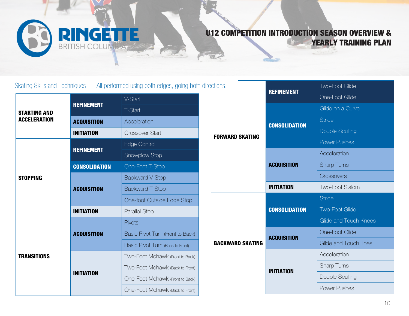

Skating Skills and Techniques — All performed using both edges, going both directions.

|                     | <b>REFINEMENT</b>    | V-Start                          |
|---------------------|----------------------|----------------------------------|
| <b>STARTING AND</b> |                      | T-Start                          |
| <b>ACCELERATION</b> | <b>ACQUISITION</b>   | Acceleration                     |
|                     | INITIATION           | <b>Crossover Start</b>           |
|                     | <b>REFINEMENT</b>    | Edge Control                     |
|                     |                      | Snowplow Stop                    |
|                     | <b>CONSOLIDATION</b> | One-Foot T-Stop                  |
| <b>STOPPING</b>     |                      | <b>Backward V-Stop</b>           |
|                     | <b>ACQUISITION</b>   | <b>Backward T-Stop</b>           |
|                     |                      | One-foot Outside Edge Stop       |
|                     | <b>INITIATION</b>    | <b>Parallel Stop</b>             |
|                     |                      | Pivots                           |
|                     | <b>ACQUISITION</b>   | Basic Pivot Turn (Front to Back) |
|                     |                      | Basic Pivot Turn (Back to Front) |
| <b>TRANSITIONS</b>  |                      | Two-Foot Mohawk (Front to Back)  |
|                     | INITIATION           | Two-Foot Mohawk (Back to Front)  |
|                     |                      | One-Foot Mohawk (Front to Back)  |
|                     |                      | One-Foot Mohawk (Back to Front)  |

| ctions.                 | <b>REFINEMENT</b>    | <b>Two-Foot Glide</b>       |
|-------------------------|----------------------|-----------------------------|
|                         |                      | One-Foot Glide              |
|                         |                      | Glide on a Curve            |
|                         |                      | <b>Stride</b>               |
|                         | <b>CONSOLIDATION</b> | Double Sculling             |
| <b>FORWARD SKATING</b>  |                      | <b>Power Pushes</b>         |
|                         |                      | Acceleration                |
|                         | <b>ACQUISITION</b>   | <b>Sharp Turns</b>          |
|                         |                      | Crossovers                  |
|                         | <b>INITIATION</b>    | <b>Two-Foot Slalom</b>      |
|                         |                      | <b>Stride</b>               |
|                         | <b>CONSOLIDATION</b> | <b>Two-Foot Glide</b>       |
|                         |                      | Glide and Touch Knees       |
|                         | <b>ACQUISITION</b>   | <b>One-Foot Glide</b>       |
| <b>BACKWARD SKATING</b> |                      | <b>Glide and Touch Toes</b> |
|                         |                      | Acceleration                |
|                         | <b>INITIATION</b>    | Sharp Turns                 |
|                         |                      | Double Sculling             |
|                         |                      | <b>Power Pushes</b>         |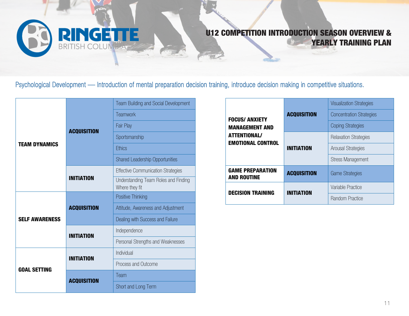

Psychological Development — Introduction of mental preparation decision training, introduce decision making in competitive situations.

|                       |                    | <b>Team Building and Social Development</b>            |
|-----------------------|--------------------|--------------------------------------------------------|
|                       |                    | Teamwork                                               |
|                       |                    | Fair Play                                              |
|                       | <b>ACQUISITION</b> | Sportsmanship                                          |
| <b>TEAM DYNAMICS</b>  |                    | <b>Ethics</b>                                          |
|                       |                    | <b>Shared Leadership Opportunities</b>                 |
|                       |                    | <b>Effective Communication Strategies</b>              |
|                       | <b>INITIATION</b>  | Understanding Team Roles and Finding<br>Where they fit |
|                       |                    | Positive Thinking                                      |
|                       | <b>ACQUISITION</b> | Attitude, Awareness and Adjustment                     |
| <b>SELF AWARENESS</b> |                    | Dealing with Success and Failure                       |
|                       | <b>INITIATION</b>  | Independence                                           |
|                       |                    | Personal Strengths and Weaknesses                      |
| <b>GOAL SETTING</b>   | <b>INITIATION</b>  | Individual                                             |
|                       |                    | Process and Outcome                                    |
|                       | <b>ACQUISITION</b> | Team                                                   |
|                       |                    | Short and Long Term                                    |

|                                                                                                   |                    | <b>Visualization Strategies</b> |
|---------------------------------------------------------------------------------------------------|--------------------|---------------------------------|
| <b>FOCUS/ ANXIETY</b><br><b>MANAGEMENT AND</b><br><b>ATTENTIONAL/</b><br><b>EMOTIONAL CONTROL</b> | <b>ACQUISITION</b> | <b>Concentration Strategies</b> |
|                                                                                                   |                    | <b>Coping Strategies</b>        |
|                                                                                                   | <b>INITIATION</b>  | <b>Relaxation Strategies</b>    |
|                                                                                                   |                    | <b>Arousal Strategies</b>       |
|                                                                                                   |                    | <b>Stress Management</b>        |
| <b>GAME PREPARATION</b><br><b>AND ROUTINE</b>                                                     | <b>ACQUISITION</b> | <b>Game Strategies</b>          |
| <b>DECISION TRAINING</b>                                                                          | <b>INITIATION</b>  | Variable Practice               |
|                                                                                                   |                    | Random Practice                 |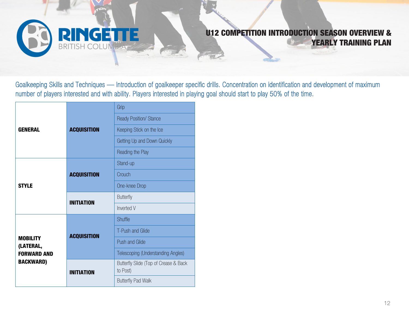

Goalkeeping Skills and Techniques — Introduction of goalkeeper specific drills. Concentration on identification and development of maximum number of players interested and with ability. Players interested in playing goal should start to play 50% of the time.

|                                                                        | <b>ACQUISITION</b> | Grip                                              |
|------------------------------------------------------------------------|--------------------|---------------------------------------------------|
| <b>GENERAL</b>                                                         |                    | <b>Ready Position/ Stance</b>                     |
|                                                                        |                    | Keeping Stick on the Ice                          |
|                                                                        |                    | Getting Up and Down Quickly                       |
|                                                                        |                    | Reading the Play                                  |
| <b>STYLE</b>                                                           | <b>ACQUISITION</b> | Stand-up                                          |
|                                                                        |                    | Crouch                                            |
|                                                                        |                    | One-knee Drop                                     |
|                                                                        | <b>INITIATION</b>  | <b>Butterfly</b>                                  |
|                                                                        |                    | Inverted V                                        |
| <b>MOBILITY</b><br>(LATERAL,<br><b>FORWARD AND</b><br><b>BACKWARD)</b> | <b>ACQUISITION</b> | Shuffle                                           |
|                                                                        |                    | T-Push and Glide                                  |
|                                                                        |                    | <b>Push and Glide</b>                             |
|                                                                        |                    | Telescoping (Understanding Angles)                |
|                                                                        | <b>INITIATION</b>  | Butterfly Slide (Top of Crease & Back<br>to Post) |
|                                                                        |                    | <b>Butterfly Pad Walk</b>                         |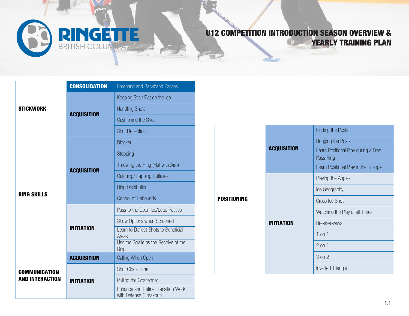

|                                                | <b>CONSOLIDATION</b> | <b>Forehand and Backhand Passes</b>                           |  |
|------------------------------------------------|----------------------|---------------------------------------------------------------|--|
| <b>STICKWORK</b>                               | <b>ACQUISITION</b>   | Keeping Stick Flat on the Ice                                 |  |
|                                                |                      | <b>Handling Shots</b>                                         |  |
|                                                |                      | Cushioning the Shot                                           |  |
|                                                |                      | <b>Shot Deflection</b>                                        |  |
| <b>RING SKILLS</b>                             | <b>ACQUISITION</b>   | <b>Blocker</b>                                                |  |
|                                                |                      | Stopping                                                      |  |
|                                                |                      | Throwing the Ring (Flat with Aim)                             |  |
|                                                |                      | Catching/Trapping Reflexes                                    |  |
|                                                |                      | <b>Ring Distribution</b>                                      |  |
|                                                |                      | <b>Control of Rebounds</b>                                    |  |
|                                                | <b>INITIATION</b>    | Pass to the Open Ice/Lead Passes                              |  |
|                                                |                      | Show Options when Screened                                    |  |
|                                                |                      | Learn to Deflect Shots to Beneficial<br>Areas                 |  |
|                                                |                      | Use the Goalie as the Receive of the<br>Ring                  |  |
| <b>COMMUNICATION</b><br><b>AND INTERACTION</b> | <b>ACQUISITION</b>   | Calling When Open                                             |  |
|                                                | <b>INITIATION</b>    | <b>Shot Clock Time</b>                                        |  |
|                                                |                      | Pulling the Goaltender                                        |  |
|                                                |                      | Enhance and Refine Transition Work<br>with Defense (Breakout) |  |

|             | <b>ACQUISITION</b> | <b>Finding the Posts</b>                         |
|-------------|--------------------|--------------------------------------------------|
|             |                    | Hugging the Posts                                |
|             |                    | Learn Positional Play during a Free<br>Pass Ring |
|             |                    | Learn Positional Play in the Triangle            |
| POSITIONING | <b>INITIATION</b>  | Playing the Angles                               |
|             |                    | Ice Geography                                    |
|             |                    | Cross Ice Shot                                   |
|             |                    | Watching the Play at all Times                   |
|             |                    | Break-a-ways                                     |
|             |                    | $1$ on $1$                                       |
|             |                    | $2$ on $1$                                       |
|             |                    | 3 on 2                                           |
|             |                    | <b>Inverted Triangle</b>                         |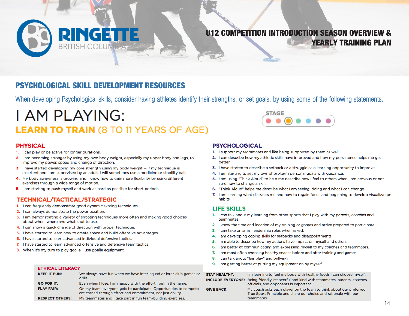# **RINGETTE**

#### U12 COMPETITION INTRODUCTION SEASON OVERVIEW & YEARLY TRAINING PLAN

#### PSYCHOLOGICAL SKILL DEVELOPMENT RESOURCES

When developing Psychological skills, consider having athletes identify their strengths, or set goals, by using some of the following statements.

## **I AM PLAYING: LEARN TO TRAIN (8 TO 11 YEARS OF AGE)**

#### **PHYSICAL**

- 1. I can play or be active for longer durations.
- 2. I am becoming stronger by using my own body weight, especially my upper body and legs, to improve my power, speed and change of direction.
- 3. I have started developing my core strength using my body weight -- if my technique is excellent and I am supervised by an adult, I will sometimes use a medicine or stability ball.
- 4. My body awareness is growing and I know how to gain more flexibility by using different exercises through a wide range of motion.
- 5. I am starting to push myself and work as hard as possible for short periods.

#### TECHNICAL/TACTICAL/STRATEGIC

- 1. I can frequently demonstrate good dynamic skating techniques.
- 2. I can always demonstrate the power position.

**ETHICAL LITERACY** 

- 3. I am demonstrating a variety of shooting techniques more often and making good choices about when, where and what shot to use.
- 4. I can show a quick change of direction with proper technique.
- 5. I have started to learn how to create space and build offensive advantages.
- 6. I have started to learn advanced individual defensive tactics.
- 7. I have started to learn advanced offensive and defensive team tactics.
- 8. When it's my turn to play goalie, I use goalie equipment.

#### **PSYCHOLOGICAL**

1. I support my teammates and like being supported by them as well.

**STAGE** 

- 2. I can describe how my athletic skills have improved and how my persistence helps me get better.
- 3. I have started to describe a setback or a struggle as a learning opportunity to improve.
- 4. I am starting to set my own short-term personal goals with guidance.
- 5. I am using "Think Aloud" to help me describe how I feel to others when I am nervous or not sure how to change a skill.
- 6. "Think Aloud" helps me describe what I am seeing, doing and what I can change.
- 7. I am learning what distracts me and how to regain focus and beginning to develop visualization habits.

#### **LIFE SKILLS**

- 1. I can talk about my learning from other sports that I play with my parents, coaches and teammates.
- 2. I know the time and location of my training or games and arrive prepared to participate.
- 3. I can take on small leadership roles when asked.
- 4. I am developing coping skills for setbacks and disappointments.
- 5. I am able to describe how my actions have impact on myself and others.
- 6. I am better at communicating and expressing myself to my coaches and teammates.
- 7. I am most often choosing healthy snacks before and after training and games.
- 8. I can talk about "fair play" and bullying.
- 9. I am getting better at putting my equipment on by myself.

| <b>KEEP IT FUN:</b>    | We always have fun when we have inter-squad or inter-club games or<br>drills.                                                     | <b>STAY HEALTHY:</b> | I'm learning to fuel my body with healthy foods I can choose myself.<br><b>INCLUDE EVERYONE:</b> Being friendly, respectful and kind with teammates, parents, coaches, |
|------------------------|-----------------------------------------------------------------------------------------------------------------------------------|----------------------|------------------------------------------------------------------------------------------------------------------------------------------------------------------------|
| <b>GO FOR IT:</b>      | Even when I lose, I am happy with the effort I put in the game.                                                                   |                      | officials, and opponents is important.                                                                                                                                 |
| <b>PLAY FAIR:</b>      | On my team, everyone gets to participate. Opportunities to compete<br>are earned through effort and commitment, not just ability. | <b>GIVE BACK:</b>    | My coach asks each player on the team to think about our preferred<br>True Sport Principle and share our choice and rationale with our                                 |
| <b>RESPECT OTHERS:</b> | My teammates and I take part in fun team-building exercises.                                                                      |                      | teammates.                                                                                                                                                             |